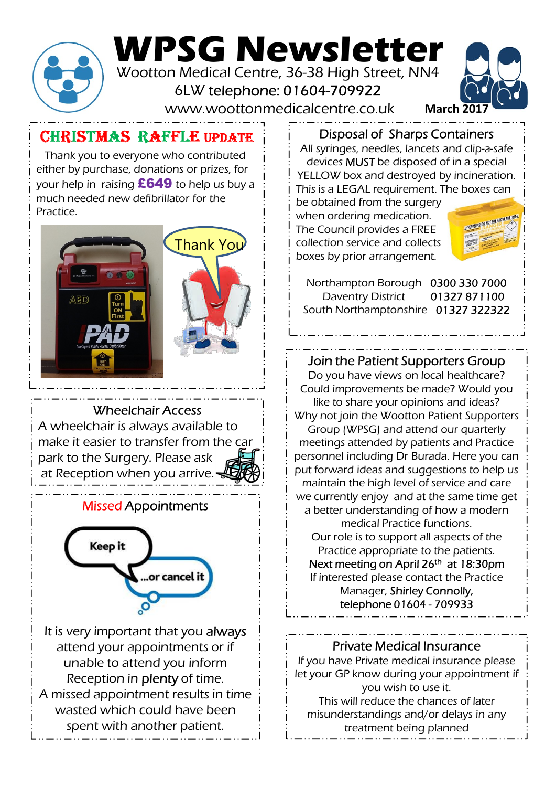

# WPSG Newsletter

Wootton Medical Centre, 36-38 High Street, NN4 6LW telephone: 01604-709922

www.woottonmedicalcentre.co.uk



## CHRISTMAS RAFFLE updATE

Thank you to everyone who contributed either by purchase, donations or prizes, for your help in raising  $£649$  to help us buy a much needed new defibrillator for the **Practice** 



Wheelchair Access

A wheelchair is always available to make it easier to transfer from the car park to the Surgery. Please ask at Reception when you arrive.

### Missed Appointments



It is very important that you always attend your appointments or if unable to attend you inform Reception in plenty of time. A missed appointment results in time wasted which could have been spent with another patient.

Disposal of Sharps Containers

All syringes, needles, lancets and clip-a-safe devices MUST be disposed of in a special YELLOW box and destroyed by incineration. This is a LEGAL requirement. The boxes can

be obtained from the surgery when ordering medication. The Council provides a FREE **Thank You** i collection service and collects boxes by prior arrangement.



Northampton Borough 0300 330 7000 Daventry District 01327 871100 South Northamptonshire 01327 322322

Join the Patient Supporters Group Do you have views on local healthcare? Could improvements be made? Would you like to share your opinions and ideas? Why not join the Wootton Patient Supporters Group (WPSG) and attend our quarterly meetings attended by patients and Practice personnel including Dr Burada. Here you can put forward ideas and suggestions to help us maintain the high level of service and care we currently enjoy and at the same time get a better understanding of how a modern medical Practice functions. Our role is to support all aspects of the Practice appropriate to the patients. Next meeting on April 26<sup>th</sup> at 18:30pm If interested please contact the Practice Manager, Shirley Connolly, u have views on local healthcare?<br>
nprovements be made? Would you<br>
b share your opinions and ideas?<br>
join the Wootton Patient Supporters<br>
[WPSG] and attend our quarterly<br>
statended by patients and Practice<br>
l'including Dr

### Private Medical Insurance If you have Private medical insurance please let your GP know during your appointment if you wish to use it. This will reduce the chances of later misunderstandings and/or delays in any treatment being planned